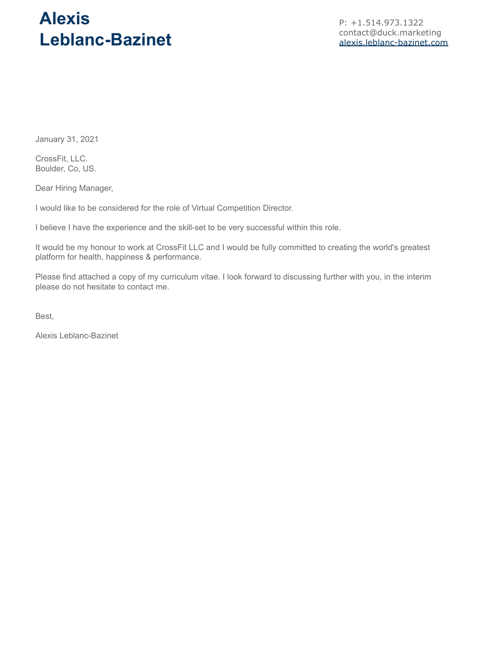# **Alexis Leblanc-Bazinet**

P: +1.514.973.1322 contact@duck.marketing [alexis.leblanc-bazinet.com](https://www.duck.marketing/alexis-leblanc-bazinet)

January 31, 2021

CrossFit, LLC. Boulder, Co, US.

Dear Hiring Manager,

I would like to be considered for the role of Virtual Competition Director.

I believe I have the experience and the skill-set to be very successful within this role.

It would be my honour to work at CrossFit LLC and I would be fully committed to creating the world's greatest platform for health, happiness & performance.

Please find attached a copy of my curriculum vitae. I look forward to discussing further with you, in the interim please do not hesitate to contact me.

Best,

Alexis Leblanc-Bazinet